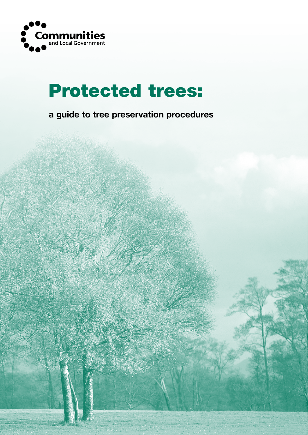

# Protected trees:

**a guide to tree preservation procedures**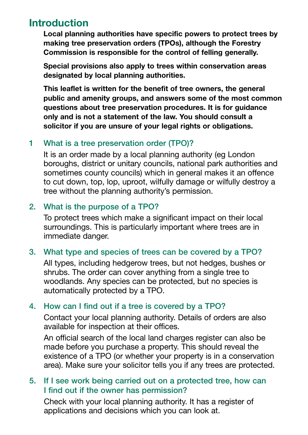# **Introduction**

**Local planning authorities have specific powers to protect trees by making tree preservation orders (TPOs), although the Forestry Commission is responsible for the control of felling generally.**

**Special provisions also apply to trees within conservation areas designated by local planning authorities.**

**This leaflet is written for the benefit of tree owners, the general public and amenity groups, and answers some of the most common questions about tree preservation procedures. It is for guidance only and is not a statement of the law. You should consult a solicitor if you are unsure of your legal rights or obligations.**

#### 1 What is a tree preservation order (TPO)?

 It is an order made by a local planning authority (eg London boroughs, district or unitary councils, national park authorities and sometimes county councils) which in general makes it an offence to cut down, top, lop, uproot, wilfully damage or wilfully destroy a tree without the planning authority's permission.

#### 2. What is the purpose of a TPO?

 To protect trees which make a significant impact on their local surroundings. This is particularly important where trees are in immediate danger.

# 3. What type and species of trees can be covered by a TPO?

 All types, including hedgerow trees, but not hedges, bushes or shrubs. The order can cover anything from a single tree to woodlands. Any species can be protected, but no species is automatically protected by a TPO.

# 4. How can I find out if a tree is covered by a TPO?

 Contact your local planning authority. Details of orders are also available for inspection at their offices.

 An official search of the local land charges register can also be made before you purchase a property. This should reveal the existence of a TPO (or whether your property is in a conservation area). Make sure your solicitor tells you if any trees are protected.

# 5. If I see work being carried out on a protected tree, how can I find out if the owner has permission?

 Check with your local planning authority. It has a register of applications and decisions which you can look at.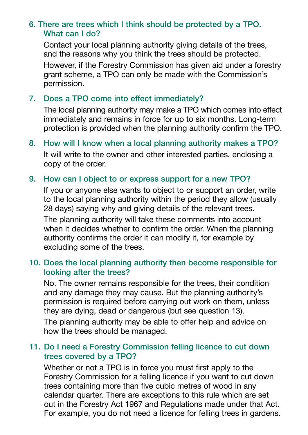# 6. There are trees which I think should be protected by a TPO. What can I do?

 Contact your local planning authority giving details of the trees, and the reasons why you think the trees should be protected. However, if the Forestry Commission has given aid under a forestry grant scheme, a TPO can only be made with the Commission's permission.

#### 7. Does a TPO come into effect immediately?

 The local planning authority may make a TPO which comes into effect immediately and remains in force for up to six months. Long-term protection is provided when the planning authority confirm the TPO.

8. How will I know when a local planning authority makes a TPO? It will write to the owner and other interested parties, enclosing a copy of the order.

#### 9. How can I object to or express support for a new TPO?

 If you or anyone else wants to object to or support an order, write to the local planning authority within the period they allow (usually 28 days) saying why and giving details of the relevant trees.

 The planning authority will take these comments into account when it decides whether to confirm the order. When the planning authority confirms the order it can modify it, for example by excluding some of the trees.

#### 10. Does the local planning authority then become responsible for looking after the trees?

 No. The owner remains responsible for the trees, their condition and any damage they may cause. But the planning authority's permission is required before carrying out work on them, unless they are dying, dead or dangerous (but see question 13).

 The planning authority may be able to offer help and advice on how the trees should be managed.

# 11. Do I need a Forestry Commission felling licence to cut down trees covered by a TPO?

 Whether or not a TPO is in force you must first apply to the Forestry Commission for a felling licence if you want to cut down trees containing more than five cubic metres of wood in any calendar quarter. There are exceptions to this rule which are set out in the Forestry Act 1967 and Regulations made under that Act. For example, you do not need a licence for felling trees in gardens.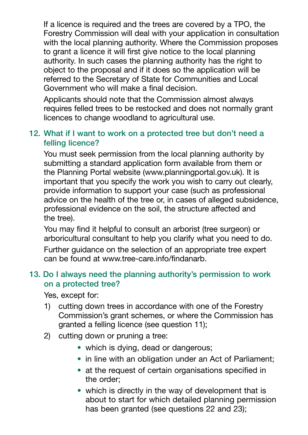If a licence is required and the trees are covered by a TPO, the Forestry Commission will deal with your application in consultation with the local planning authority. Where the Commission proposes to grant a licence it will first give notice to the local planning authority. In such cases the planning authority has the right to object to the proposal and if it does so the application will be referred to the Secretary of State for Communities and Local Government who will make a final decision.

 Applicants should note that the Commission almost always requires felled trees to be restocked and does not normally grant licences to change woodland to agricultural use.

#### 12. What if I want to work on a protected tree but don't need a felling licence?

 You must seek permission from the local planning authority by submitting a standard application form available from them or the Planning Portal website (www.planningportal.gov.uk). It is important that you specify the work you wish to carry out clearly, provide information to support your case (such as professional advice on the health of the tree or, in cases of alleged subsidence, professional evidence on the soil, the structure affected and the tree).

 You may find it helpful to consult an arborist (tree surgeon) or arboricultural consultant to help you clarify what you need to do.

 Further guidance on the selection of an appropriate tree expert can be found at www.tree-care.info/findanarb.

#### 13. Do I always need the planning authority's permission to work on a protected tree?

 Yes, except for:

- 1) cutting down trees in accordance with one of the Forestry Commission's grant schemes, or where the Commission has granted a felling licence (see question 11);
- 2) cutting down or pruning a tree:
	- which is dying, dead or dangerous;
	- in line with an obligation under an Act of Parliament:
	- at the request of certain organisations specified in the order;
	- which is directly in the way of development that is about to start for which detailed planning permission has been granted (see questions 22 and 23);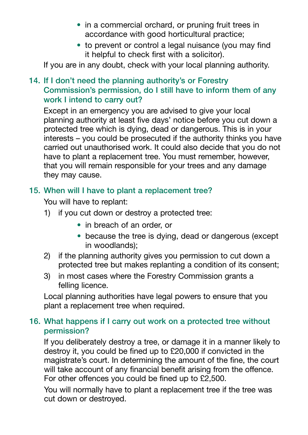- in a commercial orchard, or pruning fruit trees in accordance with good horticultural practice;
- to prevent or control a legal nuisance (you may find it helpful to check first with a solicitor).

 If you are in any doubt, check with your local planning authority.

# 14. If I don't need the planning authority's or Forestry Commission's permission, do I still have to inform them of any work I intend to carry out?

 Except in an emergency you are advised to give your local planning authority at least five days' notice before you cut down a protected tree which is dying, dead or dangerous. This is in your interests – you could be prosecuted if the authority thinks you have carried out unauthorised work. It could also decide that you do not have to plant a replacement tree. You must remember, however, that you will remain responsible for your trees and any damage they may cause.

# 15. When will I have to plant a replacement tree?

You will have to replant:

- 1) if you cut down or destroy a protected tree:
	- in breach of an order, or
	- because the tree is dying, dead or dangerous (except in woodlands);
- 2) if the planning authority gives you permission to cut down a protected tree but makes replanting a condition of its consent;
- 3) in most cases where the Forestry Commission grants a felling licence.

 Local planning authorities have legal powers to ensure that you plant a replacement tree when required.

# 16. What happens if I carry out work on a protected tree without permission?

 If you deliberately destroy a tree, or damage it in a manner likely to destroy it, you could be fined up to £20,000 if convicted in the magistrate's court. In determining the amount of the fine, the court will take account of any financial benefit arising from the offence. For other offences you could be fined up to £2,500.

 You will normally have to plant a replacement tree if the tree was cut down or destroyed.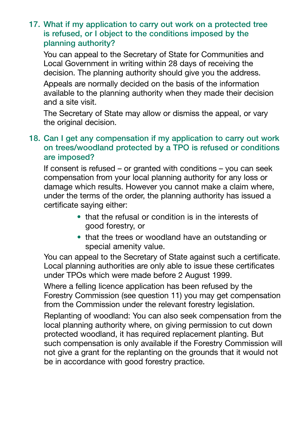### 17. What if my application to carry out work on a protected tree is refused, or I object to the conditions imposed by the planning authority?

 You can appeal to the Secretary of State for Communities and Local Government in writing within 28 days of receiving the decision. The planning authority should give you the address.

 Appeals are normally decided on the basis of the information available to the planning authority when they made their decision and a site visit.

 The Secretary of State may allow or dismiss the appeal, or vary the original decision.

# 18. Can I get any compensation if my application to carry out work on trees/woodland protected by a TPO is refused or conditions are imposed?

 If consent is refused – or granted with conditions – you can seek compensation from your local planning authority for any loss or damage which results. However you cannot make a claim where, under the terms of the order, the planning authority has issued a certificate saying either:

- that the refusal or condition is in the interests of good forestry, or
- that the trees or woodland have an outstanding or special amenity value.

 You can appeal to the Secretary of State against such a certificate. Local planning authorities are only able to issue these certificates under TPOs which were made before 2 August 1999.

 Where a felling licence application has been refused by the Forestry Commission (see question 11) you may get compensation from the Commission under the relevant forestry legislation.

 Replanting of woodland: You can also seek compensation from the local planning authority where, on giving permission to cut down protected woodland, it has required replacement planting. But such compensation is only available if the Forestry Commission will not give a grant for the replanting on the grounds that it would not be in accordance with good forestry practice.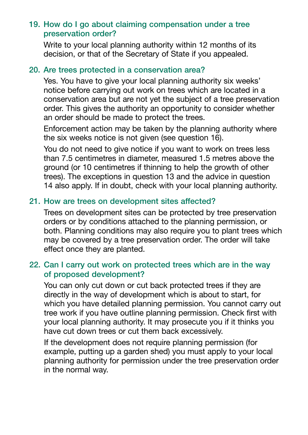# 19. How do I go about claiming compensation under a tree preservation order?

 Write to your local planning authority within 12 months of its decision, or that of the Secretary of State if you appealed.

#### 20. Are trees protected in a conservation area?

 Yes. You have to give your local planning authority six weeks' notice before carrying out work on trees which are located in a conservation area but are not yet the subject of a tree preservation order. This gives the authority an opportunity to consider whether an order should be made to protect the trees.

 Enforcement action may be taken by the planning authority where the six weeks notice is not given (see question 16).

 You do not need to give notice if you want to work on trees less than 7.5 centimetres in diameter, measured 1.5 metres above the ground (or 10 centimetres if thinning to help the growth of other trees). The exceptions in question 13 and the advice in question 14 also apply. If in doubt, check with your local planning authority.

# 21. How are trees on development sites affected?

 Trees on development sites can be protected by tree preservation orders or by conditions attached to the planning permission, or both. Planning conditions may also require you to plant trees which may be covered by a tree preservation order. The order will take effect once they are planted.

# 22. Can I carry out work on protected trees which are in the way of proposed development?

 You can only cut down or cut back protected trees if they are directly in the way of development which is about to start, for which you have detailed planning permission. You cannot carry out tree work if you have outline planning permission. Check first with your local planning authority. It may prosecute you if it thinks you have cut down trees or cut them back excessively.

 If the development does not require planning permission (for example, putting up a garden shed) you must apply to your local planning authority for permission under the tree preservation order in the normal way.